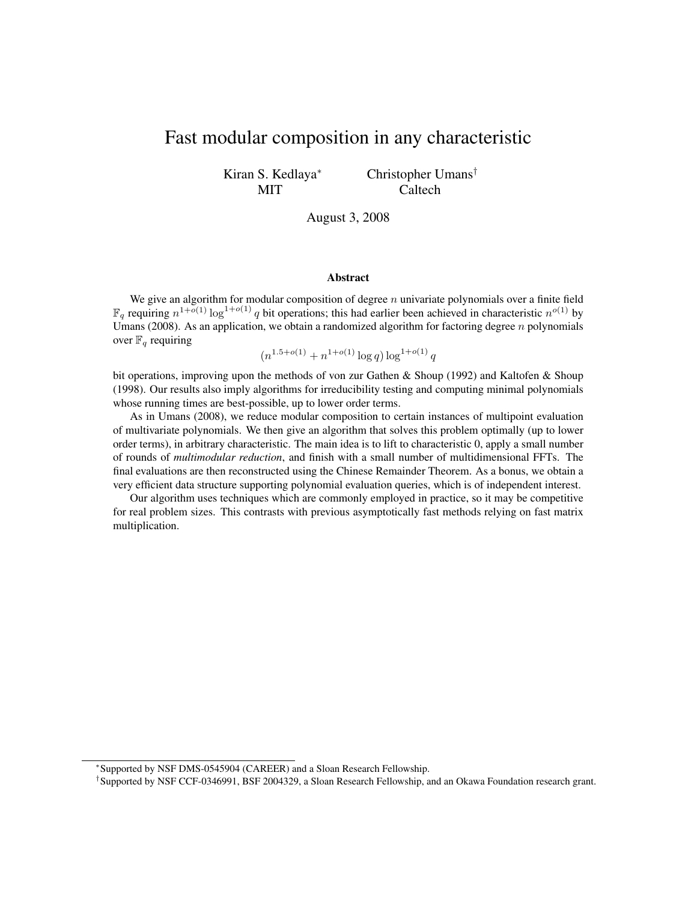# Fast modular composition in any characteristic

Kiran S. Kedlaya<sup>∗</sup> **MIT** 

Christopher Umans† Caltech

August 3, 2008

#### **Abstract**

We give an algorithm for modular composition of degree  $n$  univariate polynomials over a finite field  $\mathbb{F}_q$  requiring  $n^{1+o(1)}\log^{1+o(1)}q$  bit operations; this had earlier been achieved in characteristic  $n^{o(1)}$  by Umans (2008). As an application, we obtain a randomized algorithm for factoring degree  $n$  polynomials over  $\mathbb{F}_q$  requiring

$$
(n^{1.5+o(1)} + n^{1+o(1)} \log q) \log^{1+o(1)} q
$$

bit operations, improving upon the methods of von zur Gathen & Shoup (1992) and Kaltofen & Shoup (1998). Our results also imply algorithms for irreducibility testing and computing minimal polynomials whose running times are best-possible, up to lower order terms.

As in Umans (2008), we reduce modular composition to certain instances of multipoint evaluation of multivariate polynomials. We then give an algorithm that solves this problem optimally (up to lower order terms), in arbitrary characteristic. The main idea is to lift to characteristic 0, apply a small number of rounds of *multimodular reduction*, and finish with a small number of multidimensional FFTs. The final evaluations are then reconstructed using the Chinese Remainder Theorem. As a bonus, we obtain a very efficient data structure supporting polynomial evaluation queries, which is of independent interest.

Our algorithm uses techniques which are commonly employed in practice, so it may be competitive for real problem sizes. This contrasts with previous asymptotically fast methods relying on fast matrix multiplication.

<sup>∗</sup> Supported by NSF DMS-0545904 (CAREER) and a Sloan Research Fellowship.

<sup>†</sup> Supported by NSF CCF-0346991, BSF 2004329, a Sloan Research Fellowship, and an Okawa Foundation research grant.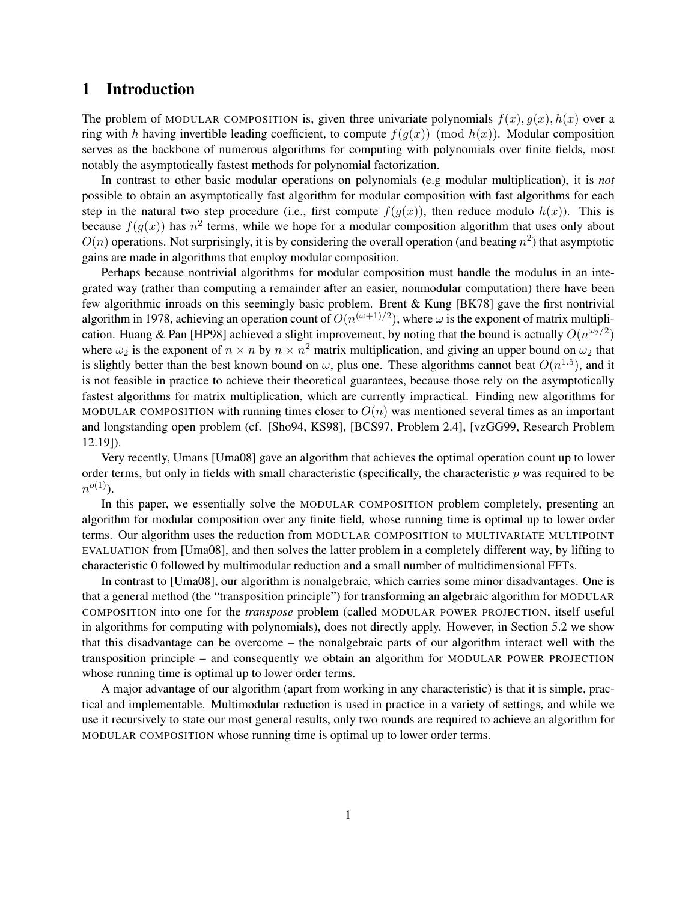## 1 Introduction

The problem of MODULAR COMPOSITION is, given three univariate polynomials  $f(x)$ ,  $g(x)$ ,  $h(x)$  over a ring with h having invertible leading coefficient, to compute  $f(q(x)) \pmod{h(x)}$ . Modular composition serves as the backbone of numerous algorithms for computing with polynomials over finite fields, most notably the asymptotically fastest methods for polynomial factorization.

In contrast to other basic modular operations on polynomials (e.g modular multiplication), it is *not* possible to obtain an asymptotically fast algorithm for modular composition with fast algorithms for each step in the natural two step procedure (i.e., first compute  $f(g(x))$ , then reduce modulo  $h(x)$ ). This is because  $f(g(x))$  has  $n^2$  terms, while we hope for a modular composition algorithm that uses only about  $O(n)$  operations. Not surprisingly, it is by considering the overall operation (and beating  $n^2$ ) that asymptotic gains are made in algorithms that employ modular composition.

Perhaps because nontrivial algorithms for modular composition must handle the modulus in an integrated way (rather than computing a remainder after an easier, nonmodular computation) there have been few algorithmic inroads on this seemingly basic problem. Brent & Kung [BK78] gave the first nontrivial algorithm in 1978, achieving an operation count of  $O(n^{(\omega+1)/2})$ , where  $\omega$  is the exponent of matrix multiplication. Huang & Pan [HP98] achieved a slight improvement, by noting that the bound is actually  $O(n^{\omega_2/2})$ where  $\omega_2$  is the exponent of  $n \times n$  by  $n \times n^2$  matrix multiplication, and giving an upper bound on  $\omega_2$  that is slightly better than the best known bound on  $\omega$ , plus one. These algorithms cannot beat  $O(n^{1.5})$ , and it is not feasible in practice to achieve their theoretical guarantees, because those rely on the asymptotically fastest algorithms for matrix multiplication, which are currently impractical. Finding new algorithms for MODULAR COMPOSITION with running times closer to  $O(n)$  was mentioned several times as an important and longstanding open problem (cf. [Sho94, KS98], [BCS97, Problem 2.4], [vzGG99, Research Problem 12.19]).

Very recently, Umans [Uma08] gave an algorithm that achieves the optimal operation count up to lower order terms, but only in fields with small characteristic (specifically, the characteristic  $p$  was required to be  $n^{o(1)}$ ).

In this paper, we essentially solve the MODULAR COMPOSITION problem completely, presenting an algorithm for modular composition over any finite field, whose running time is optimal up to lower order terms. Our algorithm uses the reduction from MODULAR COMPOSITION to MULTIVARIATE MULTIPOINT EVALUATION from [Uma08], and then solves the latter problem in a completely different way, by lifting to characteristic 0 followed by multimodular reduction and a small number of multidimensional FFTs.

In contrast to [Uma08], our algorithm is nonalgebraic, which carries some minor disadvantages. One is that a general method (the "transposition principle") for transforming an algebraic algorithm for MODULAR COMPOSITION into one for the *transpose* problem (called MODULAR POWER PROJECTION, itself useful in algorithms for computing with polynomials), does not directly apply. However, in Section 5.2 we show that this disadvantage can be overcome – the nonalgebraic parts of our algorithm interact well with the transposition principle – and consequently we obtain an algorithm for MODULAR POWER PROJECTION whose running time is optimal up to lower order terms.

A major advantage of our algorithm (apart from working in any characteristic) is that it is simple, practical and implementable. Multimodular reduction is used in practice in a variety of settings, and while we use it recursively to state our most general results, only two rounds are required to achieve an algorithm for MODULAR COMPOSITION whose running time is optimal up to lower order terms.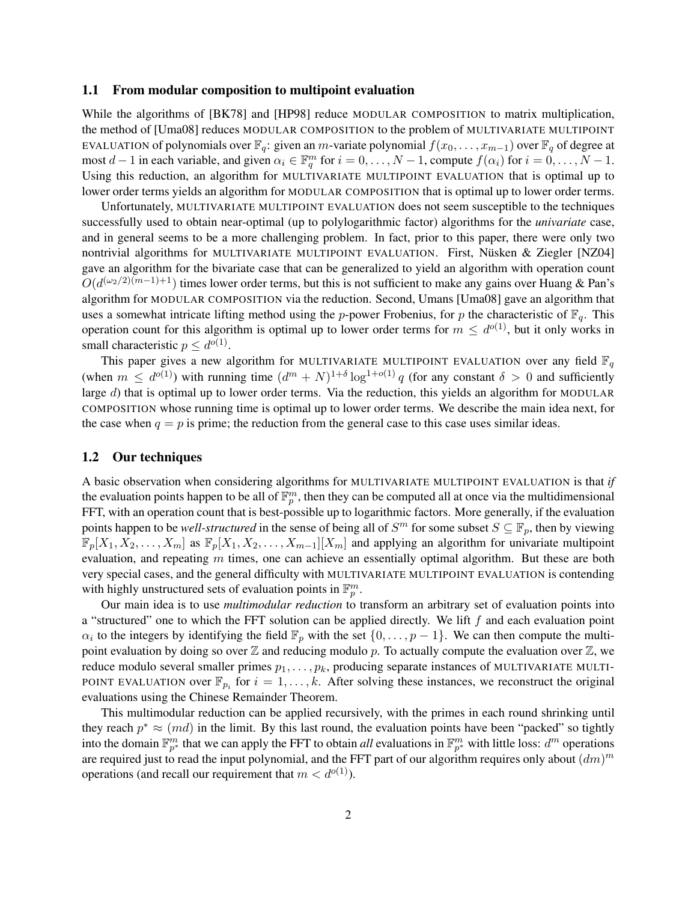#### 1.1 From modular composition to multipoint evaluation

While the algorithms of [BK78] and [HP98] reduce MODULAR COMPOSITION to matrix multiplication, the method of [Uma08] reduces MODULAR COMPOSITION to the problem of MULTIVARIATE MULTIPOINT EVALUATION of polynomials over  $\mathbb{F}_q$ : given an m-variate polynomial  $f(x_0, \ldots, x_{m-1})$  over  $\mathbb{F}_q$  of degree at most  $d-1$  in each variable, and given  $\alpha_i \in \mathbb{F}_q^m$  for  $i = 0, \ldots, N-1$ , compute  $f(\alpha_i)$  for  $i = 0, \ldots, N-1$ . Using this reduction, an algorithm for MULTIVARIATE MULTIPOINT EVALUATION that is optimal up to lower order terms yields an algorithm for MODULAR COMPOSITION that is optimal up to lower order terms.

Unfortunately, MULTIVARIATE MULTIPOINT EVALUATION does not seem susceptible to the techniques successfully used to obtain near-optimal (up to polylogarithmic factor) algorithms for the *univariate* case, and in general seems to be a more challenging problem. In fact, prior to this paper, there were only two nontrivial algorithms for MULTIVARIATE MULTIPOINT EVALUATION. First, Nüsken & Ziegler [NZ04] gave an algorithm for the bivariate case that can be generalized to yield an algorithm with operation count  $O(d^{(\omega_2/2)(m-1)+1})$  times lower order terms, but this is not sufficient to make any gains over Huang & Pan's algorithm for MODULAR COMPOSITION via the reduction. Second, Umans [Uma08] gave an algorithm that uses a somewhat intricate lifting method using the p-power Frobenius, for p the characteristic of  $\mathbb{F}_q$ . This operation count for this algorithm is optimal up to lower order terms for  $m \leq d^{o(1)}$ , but it only works in small characteristic  $p \leq d^{o(1)}$ .

This paper gives a new algorithm for MULTIVARIATE MULTIPOINT EVALUATION over any field  $\mathbb{F}_q$ (when  $m \leq d^{o(1)}$ ) with running time  $(d^m + N)^{1+\delta} \log^{1+o(1)} q$  (for any constant  $\delta > 0$  and sufficiently large d) that is optimal up to lower order terms. Via the reduction, this yields an algorithm for MODULAR COMPOSITION whose running time is optimal up to lower order terms. We describe the main idea next, for the case when  $q = p$  is prime; the reduction from the general case to this case uses similar ideas.

### 1.2 Our techniques

A basic observation when considering algorithms for MULTIVARIATE MULTIPOINT EVALUATION is that *if* the evaluation points happen to be all of  $\mathbb{F}_p^m$ , then they can be computed all at once via the multidimensional FFT, with an operation count that is best-possible up to logarithmic factors. More generally, if the evaluation points happen to be *well-structured* in the sense of being all of  $S^m$  for some subset  $S \subseteq \mathbb{F}_p$ , then by viewing  $\mathbb{F}_p[X_1, X_2, \ldots, X_m]$  as  $\mathbb{F}_p[X_1, X_2, \ldots, X_{m-1}][X_m]$  and applying an algorithm for univariate multipoint evaluation, and repeating  $m$  times, one can achieve an essentially optimal algorithm. But these are both very special cases, and the general difficulty with MULTIVARIATE MULTIPOINT EVALUATION is contending with highly unstructured sets of evaluation points in  $\mathbb{F}_p^m$ .

Our main idea is to use *multimodular reduction* to transform an arbitrary set of evaluation points into a "structured" one to which the FFT solution can be applied directly. We lift  $f$  and each evaluation point  $\alpha_i$  to the integers by identifying the field  $\mathbb{F}_p$  with the set  $\{0,\ldots,p-1\}$ . We can then compute the multipoint evaluation by doing so over  $\mathbb Z$  and reducing modulo p. To actually compute the evaluation over  $\mathbb Z$ , we reduce modulo several smaller primes  $p_1, \ldots, p_k$ , producing separate instances of MULTIVARIATE MULTI-POINT EVALUATION over  $\mathbb{F}_{p_i}$  for  $i = 1, ..., k$ . After solving these instances, we reconstruct the original evaluations using the Chinese Remainder Theorem.

This multimodular reduction can be applied recursively, with the primes in each round shrinking until they reach  $p^* \approx (md)$  in the limit. By this last round, the evaluation points have been "packed" so tightly into the domain  $\mathbb{F}_{p^*}^m$  that we can apply the FFT to obtain *all* evaluations in  $\mathbb{F}_{p^*}^m$  with little loss:  $d^m$  operations are required just to read the input polynomial, and the FFT part of our algorithm requires only about  $(dm)^m$ operations (and recall our requirement that  $m < d^{o(1)}$ ).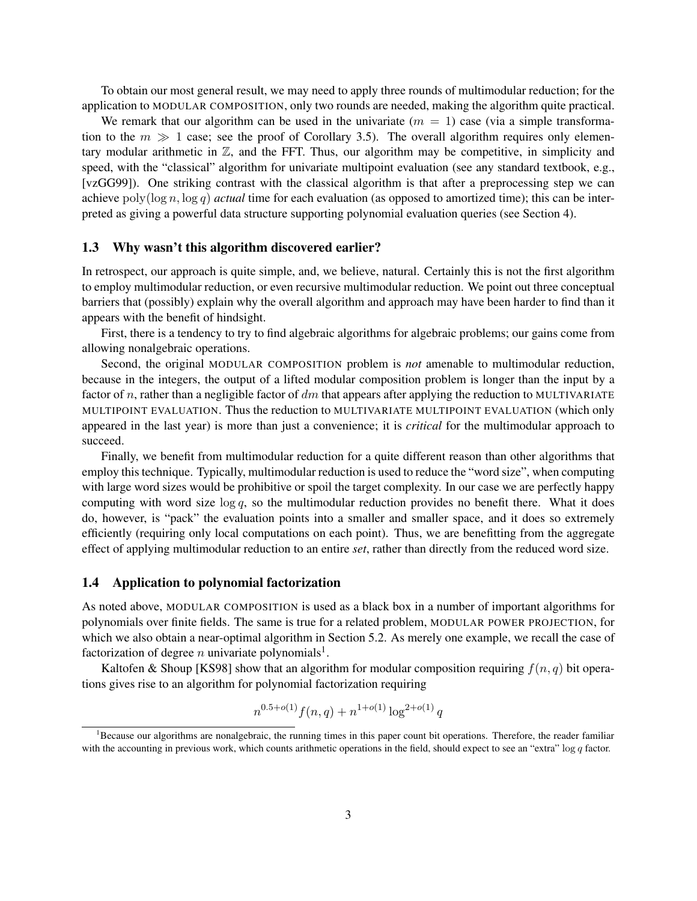To obtain our most general result, we may need to apply three rounds of multimodular reduction; for the application to MODULAR COMPOSITION, only two rounds are needed, making the algorithm quite practical.

We remark that our algorithm can be used in the univariate  $(m = 1)$  case (via a simple transformation to the  $m \gg 1$  case; see the proof of Corollary 3.5). The overall algorithm requires only elementary modular arithmetic in  $\mathbb{Z}$ , and the FFT. Thus, our algorithm may be competitive, in simplicity and speed, with the "classical" algorithm for univariate multipoint evaluation (see any standard textbook, e.g., [vzGG99]). One striking contrast with the classical algorithm is that after a preprocessing step we can achieve poly( $\log n$ ,  $\log q$ ) *actual* time for each evaluation (as opposed to amortized time); this can be interpreted as giving a powerful data structure supporting polynomial evaluation queries (see Section 4).

### 1.3 Why wasn't this algorithm discovered earlier?

In retrospect, our approach is quite simple, and, we believe, natural. Certainly this is not the first algorithm to employ multimodular reduction, or even recursive multimodular reduction. We point out three conceptual barriers that (possibly) explain why the overall algorithm and approach may have been harder to find than it appears with the benefit of hindsight.

First, there is a tendency to try to find algebraic algorithms for algebraic problems; our gains come from allowing nonalgebraic operations.

Second, the original MODULAR COMPOSITION problem is *not* amenable to multimodular reduction, because in the integers, the output of a lifted modular composition problem is longer than the input by a factor of n, rather than a negligible factor of dm that appears after applying the reduction to MULTIVARIATE MULTIPOINT EVALUATION. Thus the reduction to MULTIVARIATE MULTIPOINT EVALUATION (which only appeared in the last year) is more than just a convenience; it is *critical* for the multimodular approach to succeed.

Finally, we benefit from multimodular reduction for a quite different reason than other algorithms that employ this technique. Typically, multimodular reduction is used to reduce the "word size", when computing with large word sizes would be prohibitive or spoil the target complexity. In our case we are perfectly happy computing with word size  $\log q$ , so the multimodular reduction provides no benefit there. What it does do, however, is "pack" the evaluation points into a smaller and smaller space, and it does so extremely efficiently (requiring only local computations on each point). Thus, we are benefitting from the aggregate effect of applying multimodular reduction to an entire *set*, rather than directly from the reduced word size.

#### 1.4 Application to polynomial factorization

As noted above, MODULAR COMPOSITION is used as a black box in a number of important algorithms for polynomials over finite fields. The same is true for a related problem, MODULAR POWER PROJECTION, for which we also obtain a near-optimal algorithm in Section 5.2. As merely one example, we recall the case of factorization of degree *n* univariate polynomials<sup>1</sup>.

Kaltofen & Shoup [KS98] show that an algorithm for modular composition requiring  $f(n, q)$  bit operations gives rise to an algorithm for polynomial factorization requiring

$$
n^{0.5+o(1)}f(n,q) + n^{1+o(1)}\log^{2+o(1)}q
$$

 ${}^{1}$ Because our algorithms are nonalgebraic, the running times in this paper count bit operations. Therefore, the reader familiar with the accounting in previous work, which counts arithmetic operations in the field, should expect to see an "extra"  $\log q$  factor.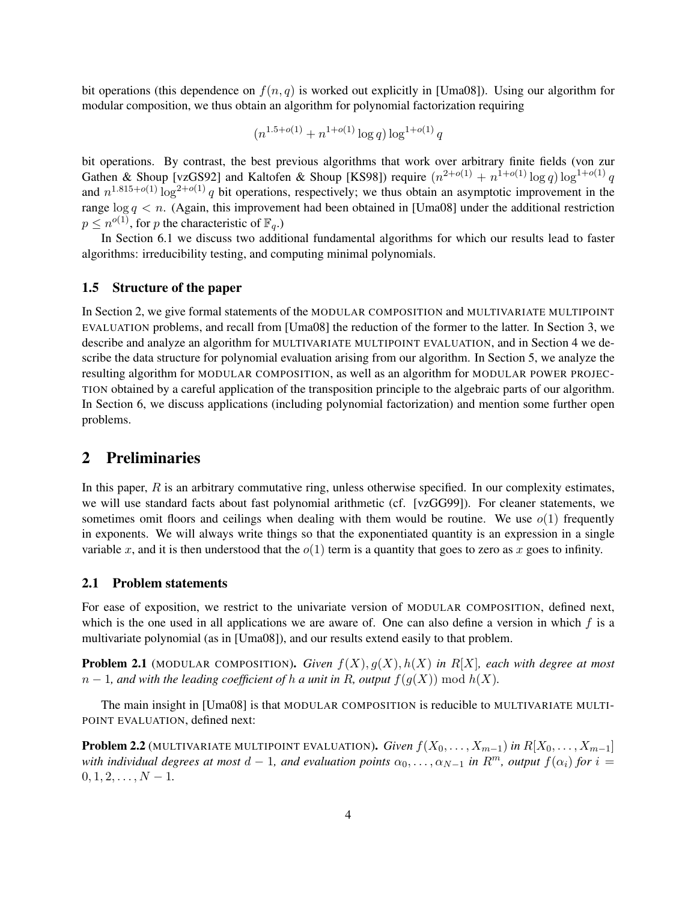bit operations (this dependence on  $f(n, q)$  is worked out explicitly in [Uma08]). Using our algorithm for modular composition, we thus obtain an algorithm for polynomial factorization requiring

$$
(n^{1.5+o(1)} + n^{1+o(1)} \log q) \log^{1+o(1)} q
$$

bit operations. By contrast, the best previous algorithms that work over arbitrary finite fields (von zur Gathen & Shoup [vzGS92] and Kaltofen & Shoup [KS98]) require  $(n^{2+o(1)} + n^{1+o(1)} \log q) \log^{1+o(1)} q$ and  $n^{1.815+o(1)}\log^{2+o(1)}q$  bit operations, respectively; we thus obtain an asymptotic improvement in the range  $\log q < n$ . (Again, this improvement had been obtained in [Uma08] under the additional restriction  $p \leq n^{o(1)}$ , for p the characteristic of  $\mathbb{F}_q$ .)

In Section 6.1 we discuss two additional fundamental algorithms for which our results lead to faster algorithms: irreducibility testing, and computing minimal polynomials.

### 1.5 Structure of the paper

In Section 2, we give formal statements of the MODULAR COMPOSITION and MULTIVARIATE MULTIPOINT EVALUATION problems, and recall from [Uma08] the reduction of the former to the latter. In Section 3, we describe and analyze an algorithm for MULTIVARIATE MULTIPOINT EVALUATION, and in Section 4 we describe the data structure for polynomial evaluation arising from our algorithm. In Section 5, we analyze the resulting algorithm for MODULAR COMPOSITION, as well as an algorithm for MODULAR POWER PROJEC-TION obtained by a careful application of the transposition principle to the algebraic parts of our algorithm. In Section 6, we discuss applications (including polynomial factorization) and mention some further open problems.

## 2 Preliminaries

In this paper,  $R$  is an arbitrary commutative ring, unless otherwise specified. In our complexity estimates, we will use standard facts about fast polynomial arithmetic (cf. [vzGG99]). For cleaner statements, we sometimes omit floors and ceilings when dealing with them would be routine. We use  $o(1)$  frequently in exponents. We will always write things so that the exponentiated quantity is an expression in a single variable x, and it is then understood that the  $o(1)$  term is a quantity that goes to zero as x goes to infinity.

### 2.1 Problem statements

For ease of exposition, we restrict to the univariate version of MODULAR COMPOSITION, defined next, which is the one used in all applications we are aware of. One can also define a version in which  $f$  is a multivariate polynomial (as in [Uma08]), and our results extend easily to that problem.

Problem 2.1 (MODULAR COMPOSITION). *Given* f(X), g(X), h(X) *in* R[X]*, each with degree at most*  $n-1$ , and with the leading coefficient of h a unit in R, output  $f(g(X)) \bmod h(X)$ .

The main insight in [Uma08] is that MODULAR COMPOSITION is reducible to MULTIVARIATE MULTI-POINT EVALUATION, defined next:

**Problem 2.2** (MULTIVARIATE MULTIPOINT EVALUATION). *Given*  $f(X_0, \ldots, X_{m-1})$  *in*  $R[X_0, \ldots, X_{m-1}]$ *with individual degrees at most*  $d-1$ , and evaluation points  $\alpha_0, \ldots, \alpha_{N-1}$  in  $R^m$ , output  $f(\alpha_i)$  for  $i =$  $0, 1, 2, \ldots, N - 1.$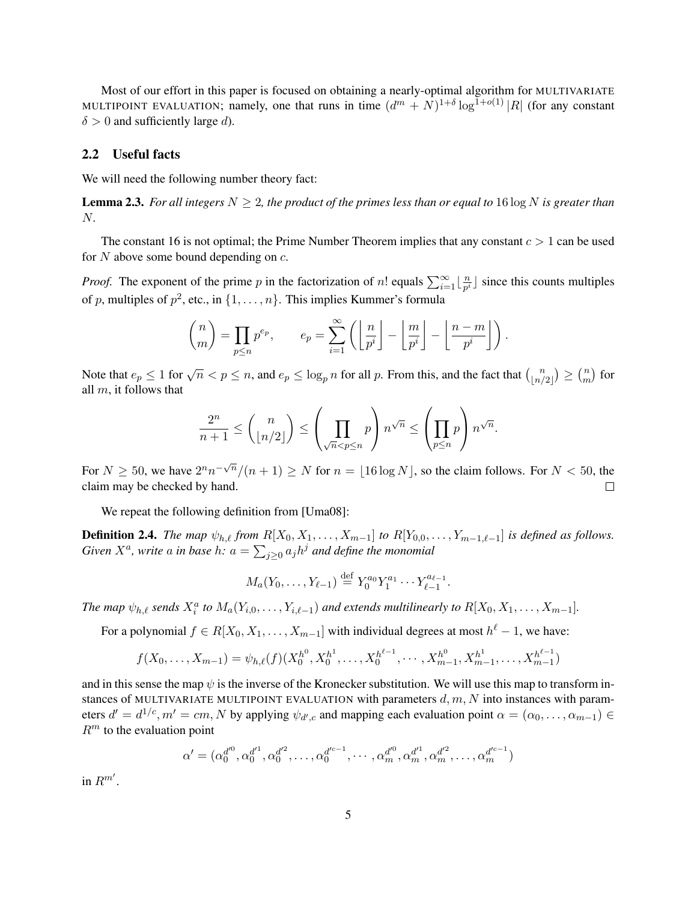Most of our effort in this paper is focused on obtaining a nearly-optimal algorithm for MULTIVARIATE MULTIPOINT EVALUATION; namely, one that runs in time  $(d<sup>m</sup> + N)^{1+\delta} \log^{1+o(1)} |R|$  (for any constant  $\delta > 0$  and sufficiently large d).

#### 2.2 Useful facts

We will need the following number theory fact:

**Lemma 2.3.** *For all integers*  $N \geq 2$ *, the product of the primes less than or equal to* 16 log N *is greater than* N*.*

The constant 16 is not optimal; the Prime Number Theorem implies that any constant  $c > 1$  can be used for  $N$  above some bound depending on  $c$ .

*Proof.* The exponent of the prime p in the factorization of n! equals  $\sum_{i=1}^{\infty} \left\lfloor \frac{n}{p^i} \right\rfloor$  $\frac{n}{p^i}$  since this counts multiples of p, multiples of  $p^2$ , etc., in  $\{1, \ldots, n\}$ . This implies Kummer's formula

$$
\binom{n}{m} = \prod_{p \le n} p^{e_p}, \qquad e_p = \sum_{i=1}^{\infty} \left( \left\lfloor \frac{n}{p^i} \right\rfloor - \left\lfloor \frac{m}{p^i} \right\rfloor - \left\lfloor \frac{n-m}{p^i} \right\rfloor \right).
$$

Note that  $e_p \leq 1$  for  $\sqrt{n} < p \leq n$ , and  $e_p \leq \log_p n$  for all p. From this, and the fact that  $\binom{n}{\lfloor n/p \rfloor}$  $\lfloor n/2 \rfloor$ ¢ ≥  $\sqrt{n}$ m ¢ for all m, it follows that

$$
\frac{2^n}{n+1} \le \binom{n}{\lfloor n/2 \rfloor} \le \left(\prod_{\sqrt{n} < p \le n} p\right) n^{\sqrt{n}} \le \left(\prod_{p \le n} p\right) n^{\sqrt{n}}.
$$

For  $N \ge 50$ , we have  $2^n n^{-\sqrt{n}}/(n+1) \ge N$  for  $n = |16 \log N|$ , so the claim follows. For  $N < 50$ , the claim may be checked by hand.  $\Box$ 

We repeat the following definition from [Uma08]:

**Definition 2.4.** *The map*  $\psi_{h,\ell}$  *from*  $R[X_0, X_1, \ldots, X_{m-1}]$  *to*  $R[Y_{0,0}, \ldots, Y_{m-1,\ell-1}]$  *is defined as follows. Given*  $X^a$ , write a in base h:  $a = \sum_{j\geq 0} a_j h^j$  and define the monomial

$$
M_a(Y_0,\ldots,Y_{\ell-1})\stackrel{\text{def}}{=} Y_0^{a_0}Y_1^{a_1}\cdots Y_{\ell-1}^{a_{\ell-1}}.
$$

*The map*  $\psi_{h,\ell}$  *sends*  $X_i^a$  *to*  $M_a(Y_{i,0}, \ldots, Y_{i,\ell-1})$  *and extends multilinearly to*  $R[X_0, X_1, \ldots, X_{m-1}]$ *.* 

For a polynomial  $f \in R[X_0, X_1, \ldots, X_{m-1}]$  with individual degrees at most  $h^{\ell} - 1$ , we have:

$$
f(X_0,\ldots,X_{m-1})=\psi_{h,\ell}(f)(X_0^{h^0},X_0^{h^1},\ldots,X_0^{h^{\ell-1}},\cdots,X_{m-1}^{h^0},X_{m-1}^{h^1},\ldots,X_{m-1}^{h^{\ell-1}})
$$

and in this sense the map  $\psi$  is the inverse of the Kronecker substitution. We will use this map to transform instances of MULTIVARIATE MULTIPOINT EVALUATION with parameters  $d, m, N$  into instances with parameters  $d' = d^{1/c}, m' = cm, N$  by applying  $\psi_{d',c}$  and mapping each evaluation point  $\alpha = (\alpha_0, \dots, \alpha_{m-1}) \in$  $R<sup>m</sup>$  to the evaluation point

$$
\alpha' = (\alpha_0^{d'^0}, \alpha_0^{d'^1}, \alpha_0^{d'^2}, \dots, \alpha_0^{d'^{c-1}}, \dots, \alpha_m^{d'^0}, \alpha_m^{d'^1}, \alpha_m^{d'^2}, \dots, \alpha_m^{d'^{c-1}})
$$

in  $R^{m'}$ .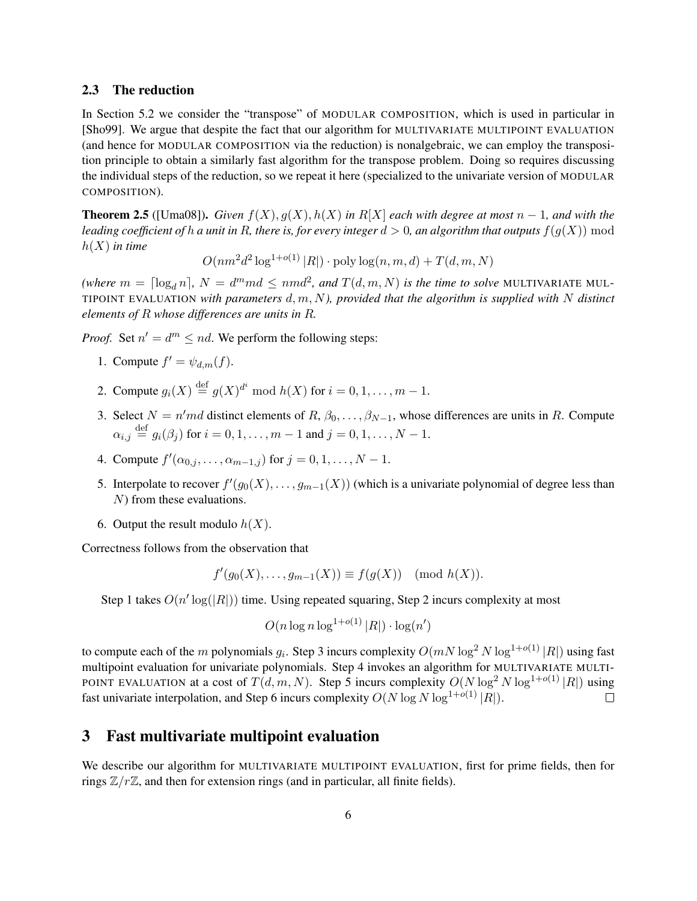### 2.3 The reduction

In Section 5.2 we consider the "transpose" of MODULAR COMPOSITION, which is used in particular in [Sho99]. We argue that despite the fact that our algorithm for MULTIVARIATE MULTIPOINT EVALUATION (and hence for MODULAR COMPOSITION via the reduction) is nonalgebraic, we can employ the transposition principle to obtain a similarly fast algorithm for the transpose problem. Doing so requires discussing the individual steps of the reduction, so we repeat it here (specialized to the univariate version of MODULAR COMPOSITION).

**Theorem 2.5** ([Uma08]). *Given*  $f(X)$ ,  $g(X)$ ,  $h(X)$  *in*  $R[X]$  *each with degree at most*  $n-1$ *, and with the leading coefficient of h a unit in R, there is, for every integer*  $d > 0$ , an algorithm that outputs  $f(g(X))$  mod h(X) *in time*

 $O(nm^2d^2\log^{1+o(1)}|R|) \cdot \text{poly}\log(n, m, d) + T(d, m, N)$ 

 $(m \leq m = \lceil \log_d n \rceil, N = d^m m d \leq n m d^2,$  and  $T(d, m, N)$  is the time to solve MULTIVARIATE MUL-TIPOINT EVALUATION *with parameters* d, m, N*), provided that the algorithm is supplied with* N *distinct elements of* R *whose differences are units in* R*.*

*Proof.* Set  $n' = d^m \leq nd$ . We perform the following steps:

- 1. Compute  $f' = \psi_{d,m}(f)$ .
- 2. Compute  $g_i(X) \stackrel{\text{def}}{=} g(X)^{d^i} \text{ mod } h(X)$  for  $i = 0, 1, \ldots, m 1$ .
- 3. Select  $N = n' m d$  distinct elements of  $R, \beta_0, \ldots, \beta_{N-1}$ , whose differences are units in R. Compute  $\alpha_{i,j} \stackrel{\text{def}}{=} g_i(\beta_j)$  for  $i = 0, 1, ..., m - 1$  and  $j = 0, 1, ..., N - 1$ .
- 4. Compute  $f'(\alpha_{0,j}, \ldots, \alpha_{m-1,j})$  for  $j = 0, 1, \ldots, N 1$ .
- 5. Interpolate to recover  $f'(g_0(X), \ldots, g_{m-1}(X))$  (which is a univariate polynomial of degree less than N) from these evaluations.
- 6. Output the result modulo  $h(X)$ .

Correctness follows from the observation that

$$
f'(g_0(X),\ldots,g_{m-1}(X)) \equiv f(g(X)) \pmod{h(X)}.
$$

Step 1 takes  $O(n' \log(|R|))$  time. Using repeated squaring, Step 2 incurs complexity at most

$$
O(n\log n\log^{1+o(1)}|R|)\cdot\log(n')
$$

to compute each of the m polynomials  $g_i$ . Step 3 incurs complexity  $O(mN\log^2 N\log^{1+o(1)} |R|)$  using fast multipoint evaluation for univariate polynomials. Step 4 invokes an algorithm for MULTIVARIATE MULTI-POINT EVALUATION at a cost of  $T(d, m, N)$ . Step 5 incurs complexity  $O(N \log^2 N \log^{1+o(1)} |R|)$  using fast univariate interpolation, and Step 6 incurs complexity  $O(N \log N \log^{1+o(1)} |R|)$ .  $\Box$ 

### 3 Fast multivariate multipoint evaluation

We describe our algorithm for MULTIVARIATE MULTIPOINT EVALUATION, first for prime fields, then for rings  $\mathbb{Z}/r\mathbb{Z}$ , and then for extension rings (and in particular, all finite fields).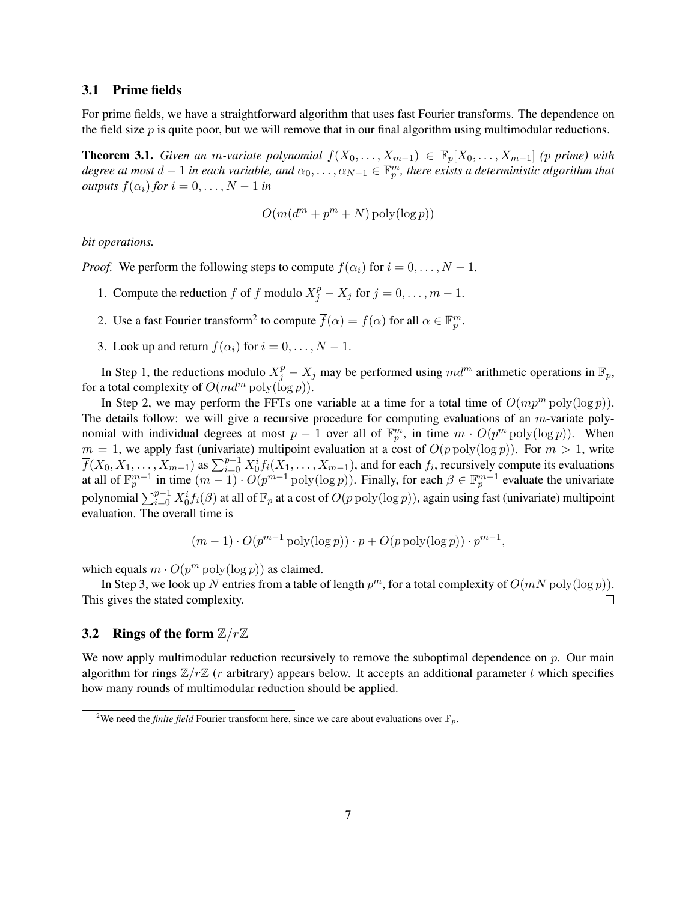### 3.1 Prime fields

For prime fields, we have a straightforward algorithm that uses fast Fourier transforms. The dependence on the field size  $p$  is quite poor, but we will remove that in our final algorithm using multimodular reductions.

**Theorem 3.1.** *Given an m-variate polynomial*  $f(X_0, \ldots, X_{m-1})$  ∈  $\mathbb{F}_p[X_0, \ldots, X_{m-1}]$  (p prime) with degree at most  $d-1$  in each variable, and  $\alpha_0,\ldots,\alpha_{N-1}\in\mathbb{F}_p^m$ , there exists a deterministic algorithm that *outputs*  $f(\alpha_i)$  *for*  $i = 0, \ldots, N - 1$  *in* 

$$
O(m(d^m + p^m + N) \operatorname{poly}(\log p))
$$

*bit operations.*

*Proof.* We perform the following steps to compute  $f(\alpha_i)$  for  $i = 0, \ldots, N - 1$ .

- 1. Compute the reduction  $\overline{f}$  of f modulo  $X_j^p X_j$  for  $j = 0, \ldots, m 1$ .
- 2. Use a fast Fourier transform<sup>2</sup> to compute  $\overline{f}(\alpha) = f(\alpha)$  for all  $\alpha \in \mathbb{F}_p^m$ .
- 3. Look up and return  $f(\alpha_i)$  for  $i = 0, \ldots, N 1$ .

In Step 1, the reductions modulo  $X_j^p - X_j$  may be performed using  $md^m$  arithmetic operations in  $\mathbb{F}_p$ , for a total complexity of  $O(md^m \text{poly}(\log p))$ .

In Step 2, we may perform the FFTs one variable at a time for a total time of  $O(mp^m \text{poly}(\log p))$ . The details follow: we will give a recursive procedure for computing evaluations of an  $m$ -variate polynomial with individual degrees at most  $p-1$  over all of  $\mathbb{F}_p^m$ , in time  $m \cdot O(p^m \text{poly}(\log p))$ . When  $m = 1$ , we apply fast (univariate) multipoint evaluation at a cost of  $O(p \text{ poly}(\log p))$ . For  $m > 1$ , write  $\overline{f}(X_0, X_1, \ldots, X_{m-1})$  as  $\sum_{i=0}^{p-1} X_0^i f_i(X_1, \ldots, X_{m-1})$ , and for each  $f_i$ , recursively compute its evaluati at all of  $\mathbb{F}_p^{m-1}$  in time  $(m-1) \cdot O(p^{m-1} \operatorname{poly}(\log p))$ . Finally, for each  $\beta \in \mathbb{F}_p^{m-1}$  evaluate the univariate polynomial  $\sum_{i=0}^{p-1} X_0^i f_i(\beta)$  at all of  $\mathbb{F}_p$  at a cost of  $O(p \text{ poly}(\log p))$ , again using fast (univariate) multipoint evaluation. The overall time is

$$
(m-1) \cdot O(p^{m-1} \operatorname{poly}(\log p)) \cdot p + O(p \operatorname{poly}(\log p)) \cdot p^{m-1},
$$

which equals  $m \cdot O(p^m \text{poly}(\log p))$  as claimed.

In Step 3, we look up N entries from a table of length  $p^m$ , for a total complexity of  $O(mN \text{ poly}(\log p))$ . This gives the stated complexity.  $\Box$ 

### 3.2 Rings of the form  $\mathbb{Z}/r\mathbb{Z}$

We now apply multimodular reduction recursively to remove the suboptimal dependence on  $p$ . Our main algorithm for rings  $\mathbb{Z}/r\mathbb{Z}$  (*r* arbitrary) appears below. It accepts an additional parameter t which specifies how many rounds of multimodular reduction should be applied.

<sup>&</sup>lt;sup>2</sup>We need the *finite field* Fourier transform here, since we care about evaluations over  $\mathbb{F}_p$ .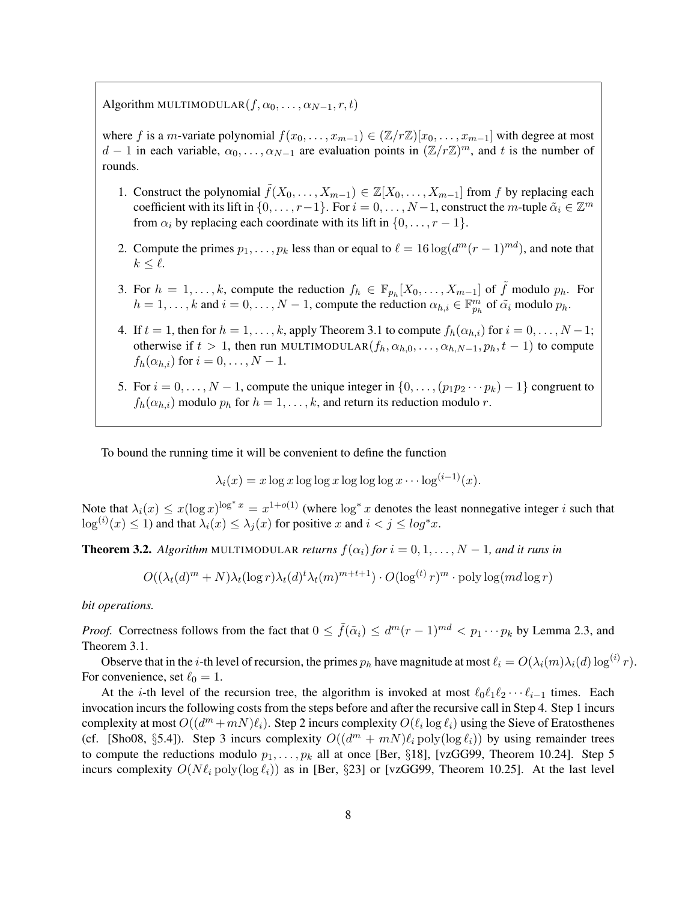Algorithm MULTIMODULAR $(f, \alpha_0, \ldots, \alpha_{N-1}, r, t)$ 

where f is a m-variate polynomial  $f(x_0, \ldots, x_{m-1}) \in (\mathbb{Z}/r\mathbb{Z})[x_0, \ldots, x_{m-1}]$  with degree at most  $d-1$  in each variable,  $\alpha_0, \ldots, \alpha_{N-1}$  are evaluation points in  $(\mathbb{Z}/r\mathbb{Z})^m$ , and t is the number of rounds.

- 1. Construct the polynomial  $\tilde{f}(X_0, \ldots, X_{m-1}) \in \mathbb{Z}[X_0, \ldots, X_{m-1}]$  from f by replacing each coefficient with its lift in  $\{0, \ldots, r-1\}$ . For  $i = 0, \ldots, N-1$ , construct the m-tuple  $\tilde{\alpha}_i \in \mathbb{Z}^m$ from  $\alpha_i$  by replacing each coordinate with its lift in  $\{0, \ldots, r-1\}$ .
- 2. Compute the primes  $p_1, \ldots, p_k$  less than or equal to  $\ell = 16 \log(d^m(r-1)^{md})$ , and note that  $k \leq \ell$ .
- 3. For  $h = 1, \ldots, k$ , compute the reduction  $f_h \in \mathbb{F}_{p_h}[X_0, \ldots, X_{m-1}]$  of  $\tilde{f}$  modulo  $p_h$ . For  $h = 1, \dots, k$  and  $i = 0, \dots, N - 1$ , compute the reduction  $\alpha_{h,i} \in \mathbb{F}_{p_h}^m$  of  $\tilde{\alpha}_i$  modulo  $p_h$ .
- 4. If  $t = 1$ , then for  $h = 1, \ldots, k$ , apply Theorem 3.1 to compute  $f_h(\alpha_{h,i})$  for  $i = 0, \ldots, N-1$ ; otherwise if  $t > 1$ , then run MULTIMODULAR $(f_h, \alpha_{h,0}, \ldots, \alpha_{h,N-1}, p_h, t-1)$  to compute  $f_h(\alpha_{h,i})$  for  $i=0,\ldots,N-1$ .
- 5. For  $i = 0, \ldots, N 1$ , compute the unique integer in  $\{0, \ldots, (p_1p_2 \cdots p_k) 1\}$  congruent to  $f_h(\alpha_{h,i})$  modulo  $p_h$  for  $h = 1, \ldots, k$ , and return its reduction modulo r.

To bound the running time it will be convenient to define the function

 $\lambda_i(x) = x \log x \log \log x \log \log x \cdots \log^{(i-1)}(x).$ 

Note that  $\lambda_i(x) \leq x(\log x)^{\log^* x} = x^{1+o(1)}$  (where  $\log^* x$  denotes the least nonnegative integer i such that  $\log^{(i)}(x) \leq 1$ ) and that  $\lambda_i(x) \leq \lambda_j(x)$  for positive x and  $i < j \leq log^*x$ .

**Theorem 3.2.** *Algorithm* MULTIMODULAR *returns*  $f(\alpha_i)$  *for*  $i = 0, 1, ..., N - 1$ *, and it runs in* 

$$
O((\lambda_t(d)^m + N)\lambda_t(\log r)\lambda_t(d)^t\lambda_t(m)^{m+t+1}) \cdot O(\log^{(t)} r)^m \cdot \text{poly}\log(md\log r)
$$

*bit operations.*

*Proof.* Correctness follows from the fact that  $0 \le \tilde{f}(\tilde{\alpha}_i) \le d^m(r-1)^{md} < p_1 \cdots p_k$  by Lemma 2.3, and Theorem 3.1.

Observe that in the *i*-th level of recursion, the primes  $p_h$  have magnitude at most  $\ell_i = O(\lambda_i(m)\lambda_i(d) \log^{(i)} r)$ . For convenience, set  $\ell_0 = 1$ .

At the *i*-th level of the recursion tree, the algorithm is invoked at most  $\ell_0\ell_1\ell_2\cdots\ell_{i-1}$  times. Each invocation incurs the following costs from the steps before and after the recursive call in Step 4. Step 1 incurs complexity at most  $O((d^m + mN)\ell_i)$ . Step 2 incurs complexity  $O(\ell_i \log \ell_i)$  using the Sieve of Eratosthenes (cf. [Sho08, §5.4]). Step 3 incurs complexity  $O((d<sup>m</sup> + mN)\ell_i \text{ poly}(\log \ell_i))$  by using remainder trees to compute the reductions modulo  $p_1, \ldots, p_k$  all at once [Ber, §18], [vzGG99, Theorem 10.24]. Step 5 incurs complexity  $O(N \ell_i \text{ poly}(\log \ell_i))$  as in [Ber, §23] or [vzGG99, Theorem 10.25]. At the last level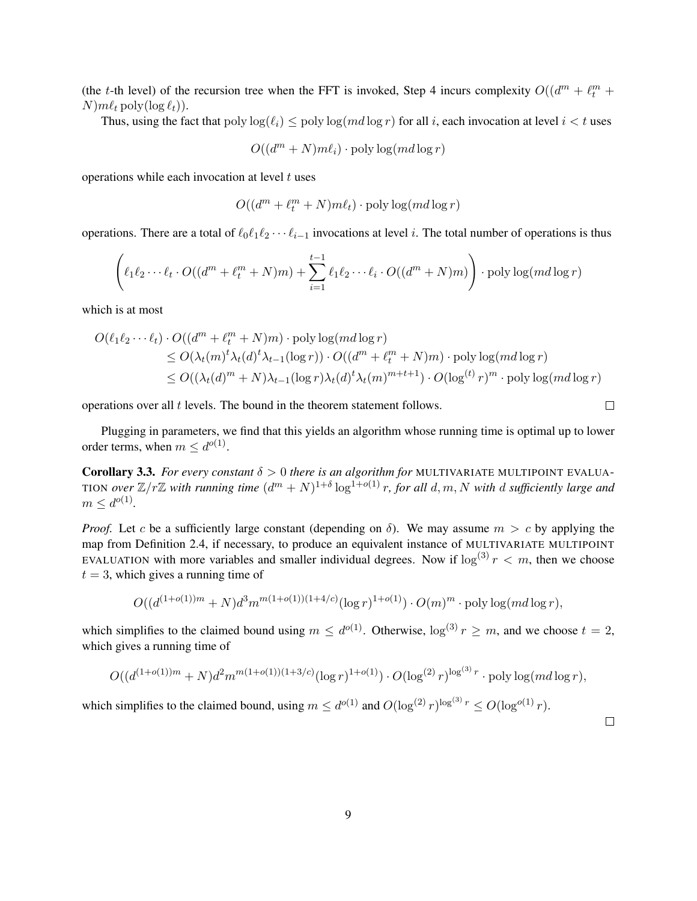(the t-th level) of the recursion tree when the FFT is invoked, Step 4 incurs complexity  $O((d<sup>m</sup> + \ell_t<sup>m</sup> +$  $N$ ) $m\ell_t$  poly(log  $\ell_t$ )).

Thus, using the fact that  $poly \log(\ell_i) \leq poly \log(md \log r)$  for all i, each invocation at level  $i < t$  uses

$$
O((d^m + N)m\ell_i) \cdot \text{poly}\log(md\log r)
$$

operations while each invocation at level  $t$  uses

$$
O((dm + \elltm + N)m\ellt) \cdot \text{poly}\log(md\log r)
$$

operations. There are a total of  $\ell_0\ell_1\ell_2 \cdots \ell_{i-1}$  invocations at level i. The total number of operations is thus

$$
\left(\ell_1\ell_2\cdots\ell_t\cdot O((d^m+\ell_t^m+N)m)+\sum_{i=1}^{t-1}\ell_1\ell_2\cdots\ell_i\cdot O((d^m+N)m)\right)\cdot\text{poly}\log(md\log r)
$$

which is at most

$$
O(\ell_1 \ell_2 \cdots \ell_t) \cdot O((d^m + \ell_t^m + N)m) \cdot \text{poly}\log(md \log r)
$$
  
\n
$$
\leq O(\lambda_t(m)^t \lambda_t(d)^t \lambda_{t-1}(\log r)) \cdot O((d^m + \ell_t^m + N)m) \cdot \text{poly}\log(md \log r)
$$
  
\n
$$
\leq O((\lambda_t(d)^m + N)\lambda_{t-1}(\log r)\lambda_t(d)^t \lambda_t(m)^{m+t+1}) \cdot O(\log^{(t)} r)^m \cdot \text{poly}\log(md \log r)
$$

operations over all t levels. The bound in the theorem statement follows.

Plugging in parameters, we find that this yields an algorithm whose running time is optimal up to lower order terms, when  $m \leq d^{o(1)}$ .

**Corollary 3.3.** *For every constant*  $\delta > 0$  *there is an algorithm for MULTIVARIATE MULTIPOINT EVALUA-*TION *over*  $\mathbb{Z}/r\mathbb{Z}$  with running time  $(d^m + N)^{1+\delta} \log^{1+o(1)} r$ , for all  $d, m, N$  with  $d$  sufficiently large and  $m \leq d^{o(1)}$ .

*Proof.* Let c be a sufficiently large constant (depending on  $\delta$ ). We may assume  $m > c$  by applying the map from Definition 2.4, if necessary, to produce an equivalent instance of MULTIVARIATE MULTIPOINT EVALUATION with more variables and smaller individual degrees. Now if  $\log^{(3)} r < m$ , then we choose  $t = 3$ , which gives a running time of

$$
O((d^{(1+o(1))m} + N)d^3m^{m(1+o(1))(1+4/c)}(\log r)^{1+o(1)}) \cdot O(m)^m \cdot \text{poly}\log(md\log r),
$$

which simplifies to the claimed bound using  $m \leq d^{o(1)}$ . Otherwise,  $\log^{(3)} r \geq m$ , and we choose  $t = 2$ , which gives a running time of

$$
O((d^{(1+o(1))m} + N)d^2m^{m(1+o(1))(1+3/c)}(\log r)^{1+o(1)}) \cdot O(\log^{(2)} r)^{\log^{(3)} r} \cdot \text{poly}\log(md\log r),
$$

which simplifies to the claimed bound, using  $m \leq d^{o(1)}$  and  $O(\log^{(2)} r)^{\log^{(3)} r} \leq O(\log^{o(1)} r)$ .

 $\Box$ 

 $\Box$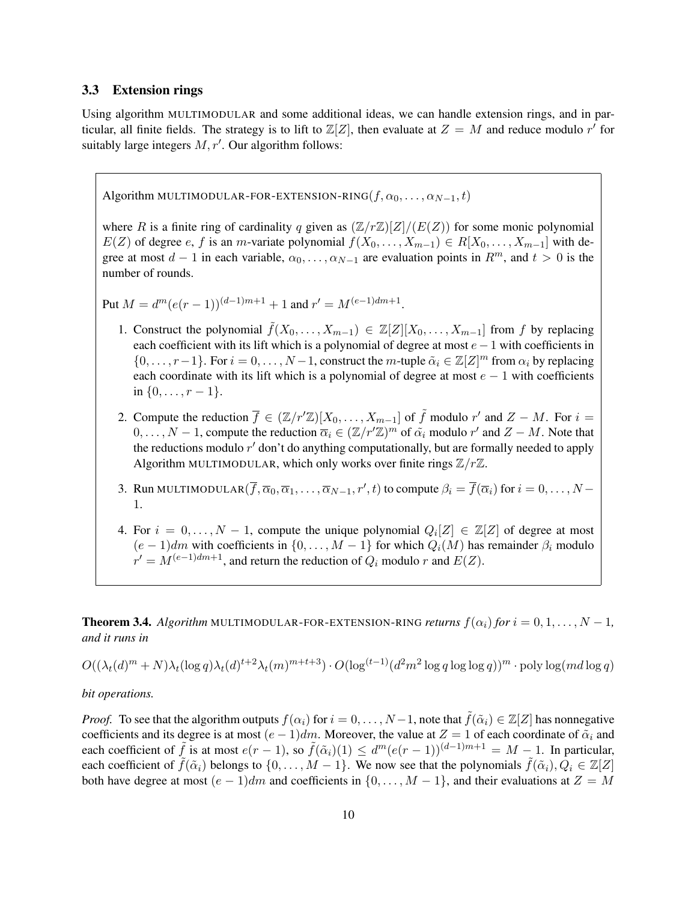### 3.3 Extension rings

Using algorithm MULTIMODULAR and some additional ideas, we can handle extension rings, and in particular, all finite fields. The strategy is to lift to  $\mathbb{Z}[Z]$ , then evaluate at  $Z = M$  and reduce modulo r' for suitably large integers  $M, r'$ . Our algorithm follows:

Algorithm MULTIMODULAR-FOR-EXTENSION-RING $(f, \alpha_0, \ldots, \alpha_{N-1}, t)$ 

where R is a finite ring of cardinality q given as  $(\mathbb{Z}/r\mathbb{Z})[Z]/(E(Z))$  for some monic polynomial  $E(Z)$  of degree e, f is an m-variate polynomial  $f(X_0, \ldots, X_{m-1}) \in R[X_0, \ldots, X_{m-1}]$  with degree at most  $d-1$  in each variable,  $\alpha_0, \ldots, \alpha_{N-1}$  are evaluation points in  $R^m$ , and  $t > 0$  is the number of rounds.

Put  $M = d^m(e(r-1))^{(d-1)m+1} + 1$  and  $r' = M^{(e-1)dm+1}$ .

- 1. Construct the polynomial  $\tilde{f}(X_0, \ldots, X_{m-1}) \in \mathbb{Z}[Z][X_0, \ldots, X_{m-1}]$  from f by replacing each coefficient with its lift which is a polynomial of degree at most  $e - 1$  with coefficients in  $\{0, \ldots, r-1\}$ . For  $i = 0, \ldots, N-1$ , construct the m-tuple  $\tilde{\alpha}_i \in \mathbb{Z}[Z]^m$  from  $\alpha_i$  by replacing each coordinate with its lift which is a polynomial of degree at most  $e - 1$  with coefficients in  $\{0, \ldots, r-1\}$ .
- 2. Compute the reduction  $\overline{f} \in (\mathbb{Z}/r'\mathbb{Z})[X_0, \ldots, X_{m-1}]$  of  $\tilde{f}$  modulo  $r'$  and  $Z M$ . For  $i =$  $0, \ldots, N-1$ , compute the reduction  $\overline{\alpha}_i \in (\mathbb{Z}/r'\mathbb{Z})^m$  of  $\tilde{\alpha}_i$  modulo  $r'$  and  $Z - M$ . Note that the reductions modulo  $r'$  don't do anything computationally, but are formally needed to apply Algorithm MULTIMODULAR, which only works over finite rings  $\mathbb{Z}/r\mathbb{Z}$ .
- 3. Run MULTIMODULAR $(\overline{f}, \overline{\alpha}_0, \overline{\alpha}_1, \ldots, \overline{\alpha}_{N-1}, r', t)$  to compute  $\beta_i = \overline{f}(\overline{\alpha}_i)$  for  $i = 0, \ldots, N-1$ 1.
- 4. For  $i = 0, \ldots, N 1$ , compute the unique polynomial  $Q_i[Z] \in \mathbb{Z}[Z]$  of degree at most  $(e - 1)$ dm with coefficients in  $\{0, \ldots, M - 1\}$  for which  $Q_i(M)$  has remainder  $\beta_i$  modulo  $r' = M^{(e-1)dm+1}$ , and return the reduction of  $Q_i$  modulo r and  $E(Z)$ .

**Theorem 3.4.** *Algorithm* MULTIMODULAR-FOR-EXTENSION-RING *returns*  $f(\alpha_i)$  *for*  $i = 0, 1, ..., N - 1$ *, and it runs in*

 $O((\lambda_t(d)^m + N)\lambda_t(\log q)\lambda_t(d)^{t+2}\lambda_t(m)^{m+t+3})\cdot O(\log^{(t-1)}(d^2m^2\log q\log\log q))^m \cdot \text{poly}\log(md\log q)$ 

### *bit operations.*

*Proof.* To see that the algorithm outputs  $f(\alpha_i)$  for  $i = 0, \ldots, N-1$ , note that  $\tilde{f}(\tilde{\alpha}_i) \in \mathbb{Z}[Z]$  has nonnegative coefficients and its degree is at most  $(e - 1)dm$ . Moreover, the value at  $Z = 1$  of each coordinate of  $\tilde{\alpha}_i$  and each coefficient of  $\tilde{f}$  is at most  $e(r-1)$ , so  $\tilde{f}(\tilde{\alpha}_i)(1) \leq d^m(e(r-1))^{(d-1)m+1} = M-1$ . In particular, each coefficient of  $\tilde{f}(\tilde{\alpha}_i)$  belongs to  $\{0,\ldots,M-1\}$ . We now see that the polynomials  $\tilde{f}(\tilde{\alpha}_i), Q_i \in \mathbb{Z}[Z]$ both have degree at most  $(e - 1)dm$  and coefficients in  $\{0, \ldots, M - 1\}$ , and their evaluations at  $Z = M$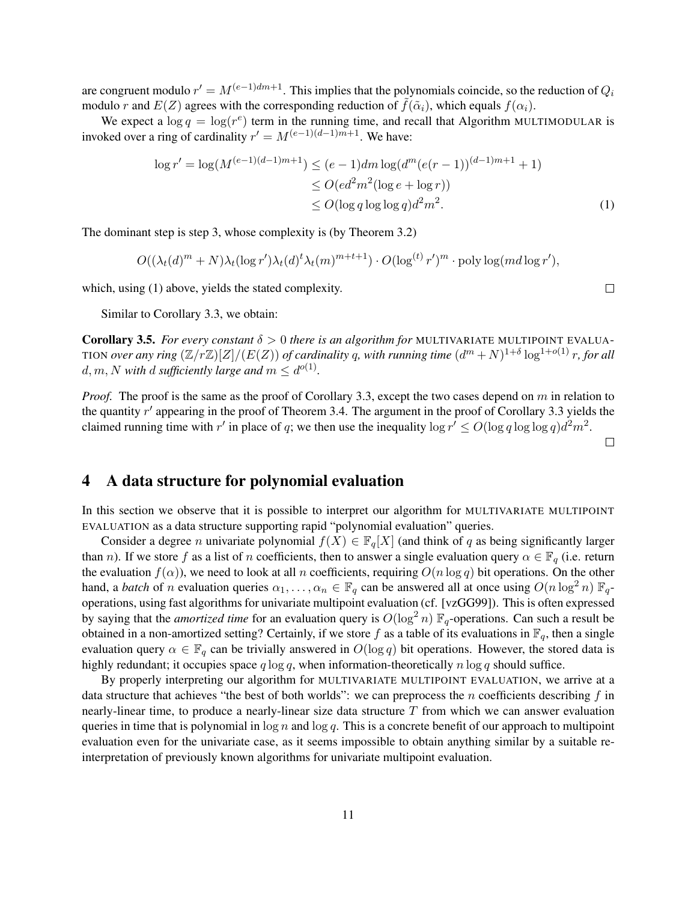are congruent modulo  $r' = M^{(e-1)dm+1}$ . This implies that the polynomials coincide, so the reduction of  $Q_i$ modulo r and  $E(Z)$  agrees with the corresponding reduction of  $\tilde{f}(\tilde{\alpha}_i)$ , which equals  $f(\alpha_i)$ .

We expect a  $\log q = \log(r^e)$  term in the running time, and recall that Algorithm MULTIMODULAR is invoked over a ring of cardinality  $r' = M^{(e-1)(d-1)m+1}$ . We have:

$$
\log r' = \log(M^{(e-1)(d-1)m+1}) \le (e-1)dm \log(d^m(e(r-1))^{(d-1)m+1} + 1)
$$
  
\n
$$
\le O(ed^2m^2(\log e + \log r))
$$
  
\n
$$
\le O(\log q \log \log q)d^2m^2.
$$
 (1)

The dominant step is step 3, whose complexity is (by Theorem 3.2)

$$
O((\lambda_t(d)^m + N)\lambda_t(\log r')\lambda_t(d)^t\lambda_t(m)^{m+t+1}) \cdot O(\log^{(t)} r')^m \cdot \text{poly}\log(md\log r'),
$$

which, using (1) above, yields the stated complexity.

Similar to Corollary 3.3, we obtain:

Corollary 3.5. *For every constant*  $\delta > 0$  *there is an algorithm for MULTIVARIATE MULTIPOINT EVALUA*-TION *over any ring*  $(\mathbb{Z}/r\mathbb{Z})[Z]/(E(Z))$  of cardinality q, with running time  $(d^m + N)^{1+\delta} \log^{1+o(1)} r$ , for all  $d, m, N$  with  $d$  sufficiently large and  $m \leq d^{o(1)}$ .

*Proof.* The proof is the same as the proof of Corollary 3.3, except the two cases depend on m in relation to the quantity  $r'$  appearing in the proof of Theorem 3.4. The argument in the proof of Corollary 3.3 yields the claimed running time with r' in place of q; we then use the inequality  $\log r' \le O(\log q \log \log q) d^2 m^2$ .

 $\Box$ 

 $\Box$ 

### 4 A data structure for polynomial evaluation

In this section we observe that it is possible to interpret our algorithm for MULTIVARIATE MULTIPOINT EVALUATION as a data structure supporting rapid "polynomial evaluation" queries.

Consider a degree *n* univariate polynomial  $f(X) \in \mathbb{F}_q[X]$  (and think of q as being significantly larger than n). If we store f as a list of n coefficients, then to answer a single evaluation query  $\alpha \in \mathbb{F}_q$  (i.e. return the evaluation  $f(\alpha)$ ), we need to look at all n coefficients, requiring  $O(n \log q)$  bit operations. On the other hand, a *batch* of n evaluation queries  $\alpha_1, \ldots, \alpha_n \in \mathbb{F}_q$  can be answered all at once using  $O(n \log^2 n) \mathbb{F}_q$ operations, using fast algorithms for univariate multipoint evaluation (cf. [vzGG99]). This is often expressed by saying that the *amortized time* for an evaluation query is  $O(\log^2 n) \mathbb{F}_q$ -operations. Can such a result be obtained in a non-amortized setting? Certainly, if we store f as a table of its evaluations in  $\mathbb{F}_q$ , then a single evaluation query  $\alpha \in \mathbb{F}_q$  can be trivially answered in  $O(\log q)$  bit operations. However, the stored data is highly redundant; it occupies space  $q \log q$ , when information-theoretically  $n \log q$  should suffice.

By properly interpreting our algorithm for MULTIVARIATE MULTIPOINT EVALUATION, we arrive at a data structure that achieves "the best of both worlds": we can preprocess the n coefficients describing f in nearly-linear time, to produce a nearly-linear size data structure  $T$  from which we can answer evaluation queries in time that is polynomial in  $\log n$  and  $\log q$ . This is a concrete benefit of our approach to multipoint evaluation even for the univariate case, as it seems impossible to obtain anything similar by a suitable reinterpretation of previously known algorithms for univariate multipoint evaluation.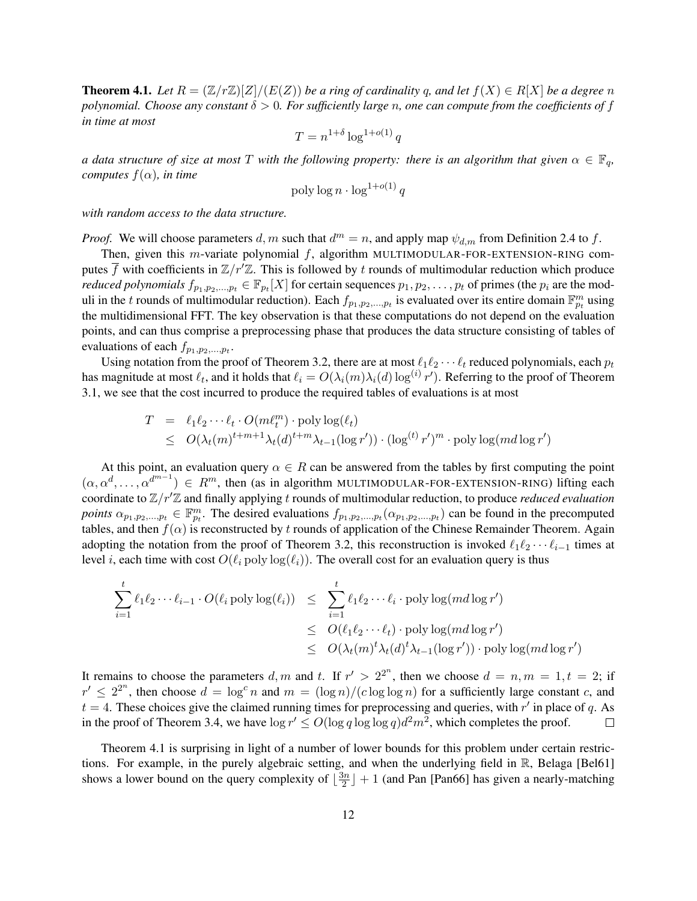**Theorem 4.1.** *Let*  $R = (\mathbb{Z}/r\mathbb{Z})[Z]/(E(Z))$  *be a ring of cardinality q, and let*  $f(X) \in R[X]$  *be a degree* n *polynomial. Choose any constant* δ > 0*. For sufficiently large* n*, one can compute from the coefficients of* f *in time at most*

$$
T = n^{1+\delta} \log^{1+o(1)} q
$$

*a data structure of size at most* T *with the following property: there is an algorithm that given*  $\alpha \in \mathbb{F}_q$ , *computes*  $f(\alpha)$ *, in time* 

$$
poly \log n \cdot \log^{1+o(1)} q
$$

*with random access to the data structure.*

*Proof.* We will choose parameters d, m such that  $d^m = n$ , and apply map  $\psi_{d,m}$  from Definition 2.4 to f.

Then, given this m-variate polynomial  $f$ , algorithm MULTIMODULAR-FOR-EXTENSION-RING computes  $\overline{f}$  with coefficients in  $\mathbb{Z}/r'\mathbb{Z}$ . This is followed by t rounds of multimodular reduction which produce *reduced polynomials*  $f_{p_1,p_2,...,p_t} \in \mathbb{F}_{p_t}[X]$  for certain sequences  $p_1,p_2,...,p_t$  of primes (the  $p_i$  are the moduli in the t rounds of multimodular reduction). Each  $f_{p_1,p_2,...,p_t}$  is evaluated over its entire domain  $\mathbb{F}_{p_t}^m$  using the multidimensional FFT. The key observation is that these computations do not depend on the evaluation points, and can thus comprise a preprocessing phase that produces the data structure consisting of tables of evaluations of each  $f_{p_1,p_2,...,p_t}$ .

Using notation from the proof of Theorem 3.2, there are at most  $\ell_1\ell_2 \cdots \ell_t$  reduced polynomials, each  $p_t$ has magnitude at most  $\ell_t$ , and it holds that  $\ell_i = O(\lambda_i(m)\lambda_i(d)\log^{(i)}r')$ . Referring to the proof of Theorem 3.1, we see that the cost incurred to produce the required tables of evaluations is at most

$$
T = \ell_1 \ell_2 \cdots \ell_t \cdot O(m\ell_t^m) \cdot \text{poly}\log(\ell_t)
$$
  
 
$$
\leq O(\lambda_t(m)^{t+m+1}\lambda_t(d)^{t+m}\lambda_{t-1}(\log r')) \cdot (\log^{(t)} r')^m \cdot \text{poly}\log(md\log r')
$$

At this point, an evaluation query  $\alpha \in R$  can be answered from the tables by first computing the point  $(\alpha, \alpha^d, \dots, \alpha^{d^{m-1}}) \in R^m$ , then (as in algorithm MULTIMODULAR-FOR-EXTENSION-RING) lifting each coordinate to  $\mathbb{Z}/r'\mathbb{Z}$  and finally applying t rounds of multimodular reduction, to produce *reduced evaluation* points  $\alpha_{p_1,p_2,...,p_t} \in \mathbb{F}_{p_t}^m$ . The desired evaluations  $f_{p_1,p_2,...,p_t}(\alpha_{p_1,p_2,...,p_t})$  can be found in the precomputed tables, and then  $f(\alpha)$  is reconstructed by t rounds of application of the Chinese Remainder Theorem. Again adopting the notation from the proof of Theorem 3.2, this reconstruction is invoked  $\ell_1\ell_2 \cdots \ell_{i-1}$  times at level i, each time with cost  $O(\ell_i \text{ poly log}(\ell_i))$ . The overall cost for an evaluation query is thus

$$
\sum_{i=1}^{t} \ell_1 \ell_2 \cdots \ell_{i-1} \cdot O(\ell_i \text{ poly log}(\ell_i)) \leq \sum_{i=1}^{t} \ell_1 \ell_2 \cdots \ell_i \cdot \text{poly log}(md \log r')
$$
\n
$$
\leq O(\ell_1 \ell_2 \cdots \ell_t) \cdot \text{poly log}(md \log r')
$$
\n
$$
\leq O(\lambda_t(m)^t \lambda_t(d)^t \lambda_{t-1}(\log r')) \cdot \text{poly log}(md \log r')
$$

It remains to choose the parameters d, m and t. If  $r' > 2^{2^n}$ , then we choose  $d = n, m = 1, t = 2$ ; if  $r' \leq 2^{2^n}$ , then choose  $d = \log^c n$  and  $m = (\log n)/(c \log \log n)$  for a sufficiently large constant c, and  $t = 4$ . These choices give the claimed running times for preprocessing and queries, with r' in place of q. As in the proof of Theorem 3.4, we have  $\log r' \le O(\log q \log \log q) d^2 m^2$ , which completes the proof.  $\Box$ 

Theorem 4.1 is surprising in light of a number of lower bounds for this problem under certain restrictions. For example, in the purely algebraic setting, and when the underlying field in  $\mathbb{R}$ , Belaga [Bel61] shows a lower bound on the query complexity of  $\frac{3n}{2}$  $\left[\frac{3n}{2}\right] + 1$  (and Pan [Pan66] has given a nearly-matching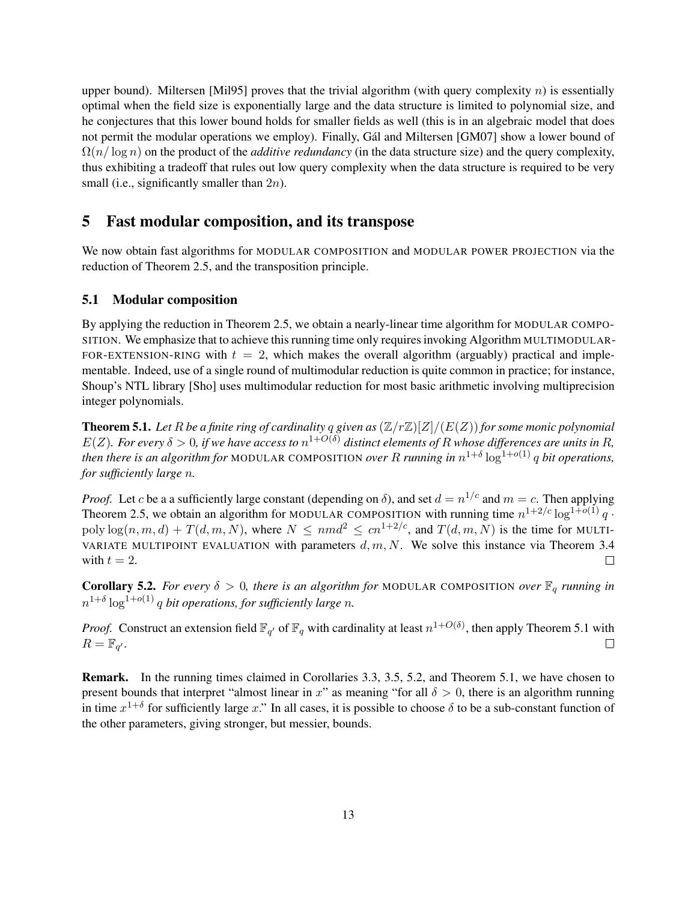upper bound). Miltersen [Mil95] proves that the trivial algorithm (with query complexity  $n$ ) is essentially optimal when the field size is exponentially large and the data structure is limited to polynomial size, and he conjectures that this lower bound holds for smaller fields as well (this is in an algebraic model that does not permit the modular operations we employ). Finally, Gál and Miltersen [GM07] show a lower bound of  $\Omega(n/\log n)$  on the product of the *additive redundancy* (in the data structure size) and the query complexity, thus exhibiting a tradeoff that rules out low query complexity when the data structure is required to be very small (i.e., significantly smaller than  $2n$ ).

## 5 Fast modular composition, and its transpose

We now obtain fast algorithms for MODULAR COMPOSITION and MODULAR POWER PROJECTION via the reduction of Theorem 2.5, and the transposition principle.

### 5.1 Modular composition

By applying the reduction in Theorem 2.5, we obtain a nearly-linear time algorithm for MODULAR COMPO-SITION. We emphasize that to achieve this running time only requires invoking Algorithm MULTIMODULAR-FOR-EXTENSION-RING with  $t = 2$ , which makes the overall algorithm (arguably) practical and implementable. Indeed, use of a single round of multimodular reduction is quite common in practice; for instance, Shoup's NTL library [Sho] uses multimodular reduction for most basic arithmetic involving multiprecision integer polynomials.

**Theorem 5.1.** Let R be a finite ring of cardinality q given as  $(\mathbb{Z}/r\mathbb{Z})[Z]/(E(Z))$  for some monic polynomial  $E(Z)$ . For every  $\delta > 0$ , if we have access to  $n^{1+O(\delta)}$  distinct elements of R whose differences are units in R, *then there is an algorithm for* MODULAR COMPOSITION *over R running in*  $n^{1+\delta} \log^{1+o(1)} q$  *bit operations, for sufficiently large* n*.*

*Proof.* Let c be a a sufficiently large constant (depending on  $\delta$ ), and set  $d = n^{1/c}$  and  $m = c$ . Then applying Theorem 2.5, we obtain an algorithm for MODULAR COMPOSITION with running time  $n^{1+2/c} \log^{1+\overline{o(1)}} q$ . poly  $\log(n, m, d) + T(d, m, N)$ , where  $N \leq nmd^2 \leq cn^{1+2/c}$ , and  $T(d, m, N)$  is the time for MULTI-VARIATE MULTIPOINT EVALUATION with parameters  $d, m, N$ . We solve this instance via Theorem 3.4 with  $t = 2$ .  $\Box$ 

**Corollary 5.2.** *For every*  $\delta > 0$ *, there is an algorithm for* MODULAR COMPOSITION *over*  $\mathbb{F}_q$  *running in*  $n^{1+\delta}\log^{1+o(1)}q$  bit operations, for sufficiently large n.

*Proof.* Construct an extension field  $\mathbb{F}_{q'}$  of  $\mathbb{F}_q$  with cardinality at least  $n^{1+O(\delta)}$ , then apply Theorem 5.1 with  $R=\mathbb{F}_{q'}$ .  $\Box$ 

Remark. In the running times claimed in Corollaries 3.3, 3.5, 5.2, and Theorem 5.1, we have chosen to present bounds that interpret "almost linear in x" as meaning "for all  $\delta > 0$ , there is an algorithm running in time  $x^{1+\delta}$  for sufficiently large x." In all cases, it is possible to choose  $\delta$  to be a sub-constant function of the other parameters, giving stronger, but messier, bounds.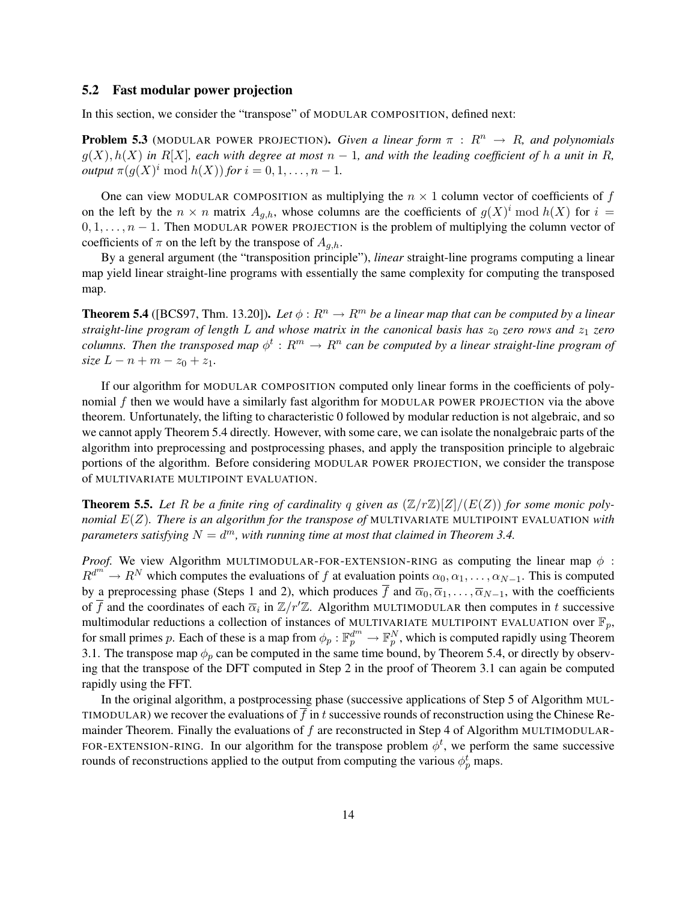### 5.2 Fast modular power projection

In this section, we consider the "transpose" of MODULAR COMPOSITION, defined next:

**Problem 5.3** (MODULAR POWER PROJECTION). *Given a linear form*  $\pi : R^n \to R$ *, and polynomials*  $g(X)$ ,  $h(X)$  *in*  $R[X]$ *, each with degree at most*  $n-1$ *, and with the leading coefficient of*  $h$  *a unit in*  $R$ *, output*  $\pi(g(X)^i \mod h(X))$  *for*  $i = 0, 1, ..., n - 1$ *.* 

One can view MODULAR COMPOSITION as multiplying the  $n \times 1$  column vector of coefficients of f on the left by the  $n \times n$  matrix  $A_{g,h}$ , whose columns are the coefficients of  $g(X)^i \mod h(X)$  for  $i =$  $0, 1, \ldots, n - 1$ . Then MODULAR POWER PROJECTION is the problem of multiplying the column vector of coefficients of  $\pi$  on the left by the transpose of  $A_{a,h}$ .

By a general argument (the "transposition principle"), *linear* straight-line programs computing a linear map yield linear straight-line programs with essentially the same complexity for computing the transposed map.

**Theorem 5.4** ([BCS97, Thm. 13.20]). Let  $\phi : R^n \to R^m$  be a linear map that can be computed by a linear *straight-line program of length* L *and whose matrix in the canonical basis has*  $z_0$  *zero rows and*  $z_1$  *zero columns. Then the transposed map*  $\phi^t : R^m \to R^n$  can be computed by a linear straight-line program of *size*  $L - n + m - z_0 + z_1$ *.* 

If our algorithm for MODULAR COMPOSITION computed only linear forms in the coefficients of polynomial f then we would have a similarly fast algorithm for MODULAR POWER PROJECTION via the above theorem. Unfortunately, the lifting to characteristic 0 followed by modular reduction is not algebraic, and so we cannot apply Theorem 5.4 directly. However, with some care, we can isolate the nonalgebraic parts of the algorithm into preprocessing and postprocessing phases, and apply the transposition principle to algebraic portions of the algorithm. Before considering MODULAR POWER PROJECTION, we consider the transpose of MULTIVARIATE MULTIPOINT EVALUATION.

**Theorem 5.5.** Let R be a finite ring of cardinality q given as  $(\mathbb{Z}/r\mathbb{Z})[Z]/(E(Z))$  for some monic poly*nomial* E(Z)*. There is an algorithm for the transpose of* MULTIVARIATE MULTIPOINT EVALUATION *with* parameters satisfying  $N = d<sup>m</sup>$ , with running time at most that claimed in Theorem 3.4.

*Proof.* We view Algorithm MULTIMODULAR-FOR-EXTENSION-RING as computing the linear map  $\phi$  :  $R^{d^m} \to R^N$  which computes the evaluations of f at evaluation points  $\alpha_0, \alpha_1, \ldots, \alpha_{N-1}$ . This is computed by a preprocessing phase (Steps 1 and 2), which produces  $\overline{f}$  and  $\overline{\alpha}_0, \overline{\alpha}_1, \ldots, \overline{\alpha}_{N-1}$ , with the coefficients of  $\overline{f}$  and the coordinates of each  $\overline{\alpha}_i$  in  $\mathbb{Z}/r'\mathbb{Z}$ . Algorithm MULTIMODULAR then computes in t successive multimodular reductions a collection of instances of MULTIVARIATE MULTIPOINT EVALUATION over  $\mathbb{F}_p$ , for small primes p. Each of these is a map from  $\phi_p : \mathbb{F}_p^{d^m} \to \mathbb{F}_p^N$ , which is computed rapidly using Theorem 3.1. The transpose map  $\phi_p$  can be computed in the same time bound, by Theorem 5.4, or directly by observing that the transpose of the DFT computed in Step 2 in the proof of Theorem 3.1 can again be computed rapidly using the FFT.

In the original algorithm, a postprocessing phase (successive applications of Step 5 of Algorithm MUL-TIMODULAR) we recover the evaluations of  $\overline{f}$  in t successive rounds of reconstruction using the Chinese Remainder Theorem. Finally the evaluations of  $f$  are reconstructed in Step 4 of Algorithm MULTIMODULAR-FOR-EXTENSION-RING. In our algorithm for the transpose problem  $\phi^t$ , we perform the same successive rounds of reconstructions applied to the output from computing the various  $\phi_p^t$  maps.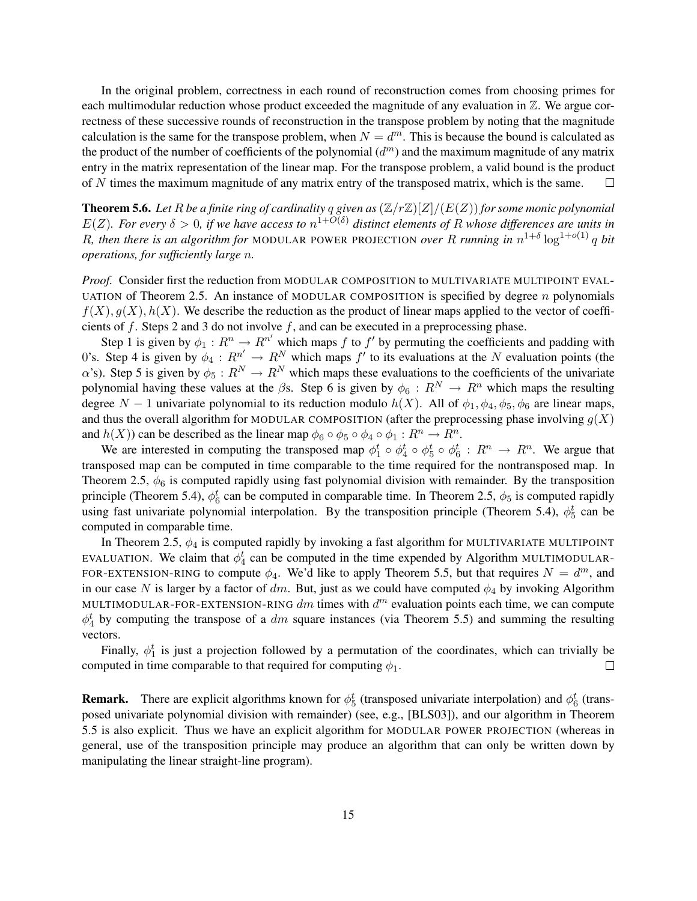In the original problem, correctness in each round of reconstruction comes from choosing primes for each multimodular reduction whose product exceeded the magnitude of any evaluation in Z. We argue correctness of these successive rounds of reconstruction in the transpose problem by noting that the magnitude calculation is the same for the transpose problem, when  $N = d^m$ . This is because the bound is calculated as the product of the number of coefficients of the polynomial  $(d<sup>m</sup>)$  and the maximum magnitude of any matrix entry in the matrix representation of the linear map. For the transpose problem, a valid bound is the product of N times the maximum magnitude of any matrix entry of the transposed matrix, which is the same.

**Theorem 5.6.** Let R be a finite ring of cardinality q given as  $(\mathbb{Z}/r\mathbb{Z})[Z]/(E(Z))$  for some monic polynomial  $E(Z)$ . For every  $\delta > 0$ , if we have access to  $n^{1+O(\delta)}$  distinct elements of R whose differences are units in R, then there is an algorithm for MODULAR POWER PROJECTION over R running in  $n^{1+\delta} \log^{1+o(1)} q$  bit *operations, for sufficiently large* n*.*

*Proof.* Consider first the reduction from MODULAR COMPOSITION to MULTIVARIATE MULTIPOINT EVAL-UATION of Theorem 2.5. An instance of MODULAR COMPOSITION is specified by degree  $n$  polynomials  $f(X), g(X), h(X)$ . We describe the reduction as the product of linear maps applied to the vector of coefficients of f. Steps 2 and 3 do not involve f, and can be executed in a preprocessing phase.

Step 1 is given by  $\phi_1 : R^n \to R^{n'}$  which maps f to f' by permuting the coefficients and padding with 0's. Step 4 is given by  $\phi_4: R^{n'} \to R^N$  which maps  $f'$  to its evaluations at the N evaluation points (the  $\alpha$ 's). Step 5 is given by  $\phi_5: R^N \to R^N$  which maps these evaluations to the coefficients of the univariate polynomial having these values at the  $\beta s$ . Step 6 is given by  $\phi_6: R^N \to R^n$  which maps the resulting degree  $N-1$  univariate polynomial to its reduction modulo  $h(X)$ . All of  $\phi_1, \phi_4, \phi_5, \phi_6$  are linear maps, and thus the overall algorithm for MODULAR COMPOSITION (after the preprocessing phase involving  $g(X)$ ) and  $h(X)$ ) can be described as the linear map  $\phi_6 \circ \phi_5 \circ \phi_4 \circ \phi_1 : R^n \to R^n$ .

We are interested in computing the transposed map  $\phi_1^t \circ \phi_4^t \circ \phi_5^t \circ \phi_6^t : R^n \to R^n$ . We argue that transposed map can be computed in time comparable to the time required for the nontransposed map. In Theorem 2.5,  $\phi_6$  is computed rapidly using fast polynomial division with remainder. By the transposition principle (Theorem 5.4),  $\phi_6^t$  can be computed in comparable time. In Theorem 2.5,  $\phi_5$  is computed rapidly using fast univariate polynomial interpolation. By the transposition principle (Theorem 5.4),  $\phi_5^t$  can be computed in comparable time.

In Theorem 2.5,  $\phi_4$  is computed rapidly by invoking a fast algorithm for MULTIVARIATE MULTIPOINT EVALUATION. We claim that  $\phi_4^t$  can be computed in the time expended by Algorithm MULTIMODULAR-FOR-EXTENSION-RING to compute  $\phi_4$ . We'd like to apply Theorem 5.5, but that requires  $N = d^m$ , and in our case N is larger by a factor of dm. But, just as we could have computed  $\phi_4$  by invoking Algorithm MULTIMODULAR-FOR-EXTENSION-RING  $dm$  times with  $d<sup>m</sup>$  evaluation points each time, we can compute  $\phi_4^t$  by computing the transpose of a dm square instances (via Theorem 5.5) and summing the resulting vectors.

Finally,  $\phi_1^t$  is just a projection followed by a permutation of the coordinates, which can trivially be computed in time comparable to that required for computing  $\phi_1$ .  $\Box$ 

**Remark.** There are explicit algorithms known for  $\phi_5^t$  (transposed univariate interpolation) and  $\phi_6^t$  (transposed univariate polynomial division with remainder) (see, e.g., [BLS03]), and our algorithm in Theorem 5.5 is also explicit. Thus we have an explicit algorithm for MODULAR POWER PROJECTION (whereas in general, use of the transposition principle may produce an algorithm that can only be written down by manipulating the linear straight-line program).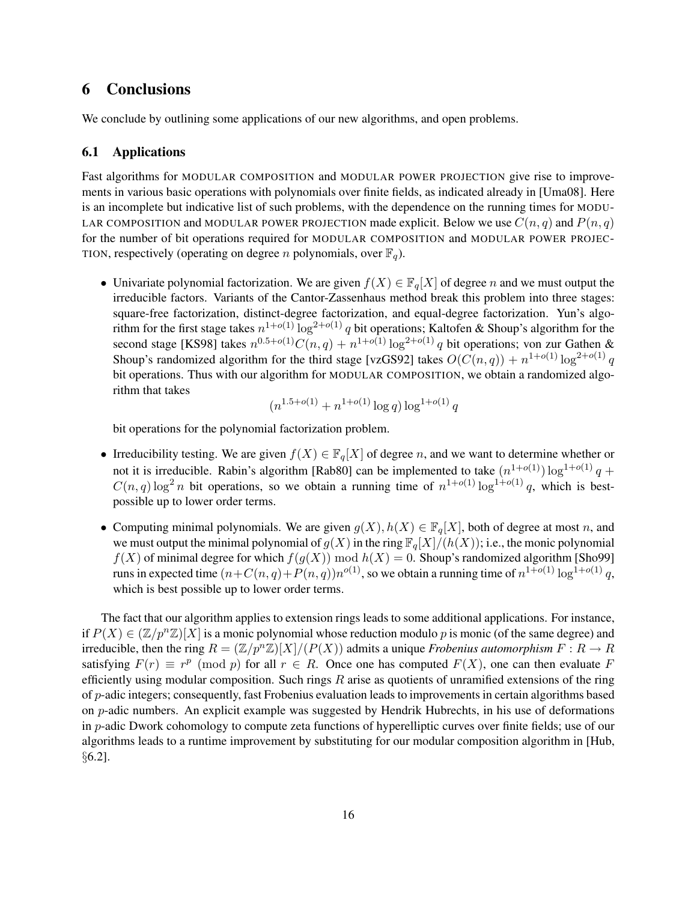## 6 Conclusions

We conclude by outlining some applications of our new algorithms, and open problems.

### 6.1 Applications

Fast algorithms for MODULAR COMPOSITION and MODULAR POWER PROJECTION give rise to improvements in various basic operations with polynomials over finite fields, as indicated already in [Uma08]. Here is an incomplete but indicative list of such problems, with the dependence on the running times for MODU-LAR COMPOSITION and MODULAR POWER PROJECTION made explicit. Below we use  $C(n, q)$  and  $P(n, q)$ for the number of bit operations required for MODULAR COMPOSITION and MODULAR POWER PROJEC-TION, respectively (operating on degree *n* polynomials, over  $\mathbb{F}_q$ ).

• Univariate polynomial factorization. We are given  $f(X) \in \mathbb{F}_q[X]$  of degree n and we must output the irreducible factors. Variants of the Cantor-Zassenhaus method break this problem into three stages: square-free factorization, distinct-degree factorization, and equal-degree factorization. Yun's algorithm for the first stage takes  $n^{1+o(1)}\log^{2+o(1)}q$  bit operations; Kaltofen & Shoup's algorithm for the second stage [KS98] takes  $n^{0.5+o(1)}C(n,q) + n^{1+o(1)}\log^{2+o(1)}q$  bit operations; von zur Gathen & Shoup's randomized algorithm for the third stage [vzGS92] takes  $O(C(n, q)) + n^{1+o(1)} \log^{2+o(1)} q$ bit operations. Thus with our algorithm for MODULAR COMPOSITION, we obtain a randomized algorithm that takes

$$
(n^{1.5+o(1)} + n^{1+o(1)} \log q) \log^{1+o(1)} q
$$

bit operations for the polynomial factorization problem.

- Irreducibility testing. We are given  $f(X) \in \mathbb{F}_q[X]$  of degree n, and we want to determine whether or not it is irreducible. Rabin's algorithm [Rab80] can be implemented to take  $(n^{1+o(1)}) \log^{1+o(1)} q +$  $C(n,q) \log^2 n$  bit operations, so we obtain a running time of  $n^{1+o(1)} \log^{1+o(1)} q$ , which is bestpossible up to lower order terms.
- Computing minimal polynomials. We are given  $g(X)$ ,  $h(X) \in \mathbb{F}_q[X]$ , both of degree at most n, and we must output the minimal polynomial of  $g(X)$  in the ring  $\mathbb{F}_q[X]/(h(X))$ ; i.e., the monic polynomial  $f(X)$  of minimal degree for which  $f(g(X)) \bmod h(X) = 0$ . Shoup's randomized algorithm [Sho99] runs in expected time  $(n+C(n,q)+P(n,q))n^{o(1)}$ , so we obtain a running time of  $n^{1+o(1)}\log^{1+o(1)}q$ , which is best possible up to lower order terms.

The fact that our algorithm applies to extension rings leads to some additional applications. For instance, if  $P(X) \in (\mathbb{Z}/p^n\mathbb{Z})[X]$  is a monic polynomial whose reduction modulo p is monic (of the same degree) and irreducible, then the ring  $R = (\mathbb{Z}/p^n\mathbb{Z})[X]/(P(X))$  admits a unique *Frobenius automorphism*  $F: R \to R$ satisfying  $F(r) \equiv r^p \pmod{p}$  for all  $r \in R$ . Once one has computed  $F(X)$ , one can then evaluate F efficiently using modular composition. Such rings  $R$  arise as quotients of unramified extensions of the ring of p-adic integers; consequently, fast Frobenius evaluation leads to improvements in certain algorithms based on p-adic numbers. An explicit example was suggested by Hendrik Hubrechts, in his use of deformations in  $p$ -adic Dwork cohomology to compute zeta functions of hyperelliptic curves over finite fields; use of our algorithms leads to a runtime improvement by substituting for our modular composition algorithm in [Hub, §6.2].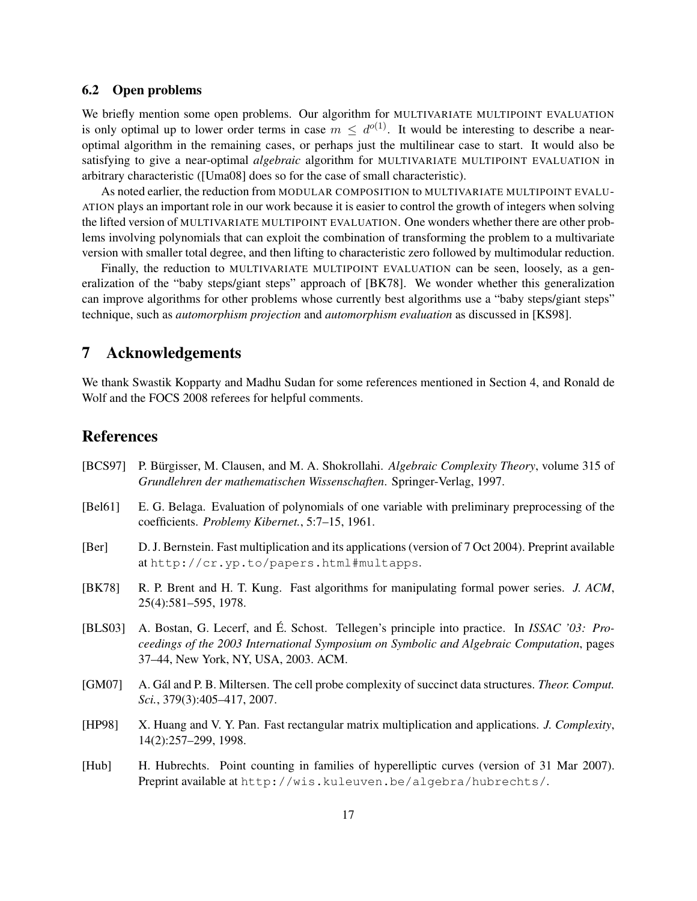### 6.2 Open problems

We briefly mention some open problems. Our algorithm for MULTIVARIATE MULTIPOINT EVALUATION is only optimal up to lower order terms in case  $m \leq d^{o(1)}$ . It would be interesting to describe a nearoptimal algorithm in the remaining cases, or perhaps just the multilinear case to start. It would also be satisfying to give a near-optimal *algebraic* algorithm for MULTIVARIATE MULTIPOINT EVALUATION in arbitrary characteristic ([Uma08] does so for the case of small characteristic).

As noted earlier, the reduction from MODULAR COMPOSITION to MULTIVARIATE MULTIPOINT EVALU-ATION plays an important role in our work because it is easier to control the growth of integers when solving the lifted version of MULTIVARIATE MULTIPOINT EVALUATION. One wonders whether there are other problems involving polynomials that can exploit the combination of transforming the problem to a multivariate version with smaller total degree, and then lifting to characteristic zero followed by multimodular reduction.

Finally, the reduction to MULTIVARIATE MULTIPOINT EVALUATION can be seen, loosely, as a generalization of the "baby steps/giant steps" approach of [BK78]. We wonder whether this generalization can improve algorithms for other problems whose currently best algorithms use a "baby steps/giant steps" technique, such as *automorphism projection* and *automorphism evaluation* as discussed in [KS98].

## 7 Acknowledgements

We thank Swastik Kopparty and Madhu Sudan for some references mentioned in Section 4, and Ronald de Wolf and the FOCS 2008 referees for helpful comments.

## References

- [BCS97] P. Bürgisser, M. Clausen, and M. A. Shokrollahi. *Algebraic Complexity Theory*, volume 315 of *Grundlehren der mathematischen Wissenschaften*. Springer-Verlag, 1997.
- [Bel61] E. G. Belaga. Evaluation of polynomials of one variable with preliminary preprocessing of the coefficients. *Problemy Kibernet.*, 5:7–15, 1961.
- [Ber] D. J. Bernstein. Fast multiplication and its applications (version of 7 Oct 2004). Preprint available at http://cr.yp.to/papers.html#multapps.
- [BK78] R. P. Brent and H. T. Kung. Fast algorithms for manipulating formal power series. *J. ACM*, 25(4):581–595, 1978.
- [BLS03] A. Bostan, G. Lecerf, and E. Schost. Tellegen's principle into practice. In ´ *ISSAC '03: Proceedings of the 2003 International Symposium on Symbolic and Algebraic Computation*, pages 37–44, New York, NY, USA, 2003. ACM.
- [GM07] A. Gal and P. B. Miltersen. The cell probe complexity of succinct data structures. ´ *Theor. Comput. Sci.*, 379(3):405–417, 2007.
- [HP98] X. Huang and V. Y. Pan. Fast rectangular matrix multiplication and applications. *J. Complexity*, 14(2):257–299, 1998.
- [Hub] H. Hubrechts. Point counting in families of hyperelliptic curves (version of 31 Mar 2007). Preprint available at http://wis.kuleuven.be/algebra/hubrechts/.